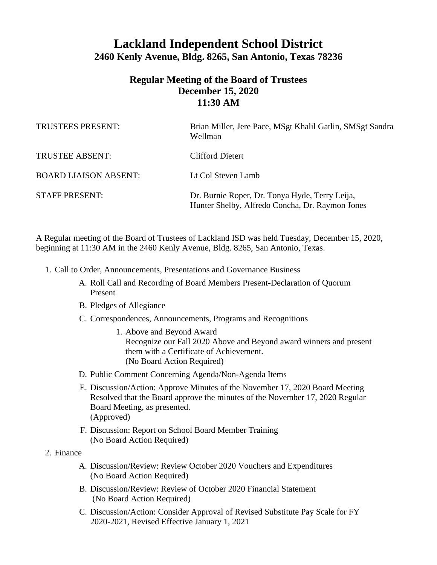## **Lackland Independent School District 2460 Kenly Avenue, Bldg. 8265, San Antonio, Texas 78236**

## **Regular Meeting of the Board of Trustees December 15, 2020 11:30 AM**

| TRUSTEES PRESENT:            | Brian Miller, Jere Pace, MSgt Khalil Gatlin, SMSgt Sandra<br>Wellman                              |
|------------------------------|---------------------------------------------------------------------------------------------------|
| <b>TRUSTEE ABSENT:</b>       | Clifford Dietert                                                                                  |
| <b>BOARD LIAISON ABSENT:</b> | Lt Col Steven Lamb                                                                                |
| <b>STAFF PRESENT:</b>        | Dr. Burnie Roper, Dr. Tonya Hyde, Terry Leija,<br>Hunter Shelby, Alfredo Concha, Dr. Raymon Jones |

A Regular meeting of the Board of Trustees of Lackland ISD was held Tuesday, December 15, 2020, beginning at 11:30 AM in the 2460 Kenly Avenue, Bldg. 8265, San Antonio, Texas.

- 1. Call to Order, Announcements, Presentations and Governance Business
	- A. Roll Call and Recording of Board Members Present-Declaration of Quorum Present
	- B. Pledges of Allegiance
	- C. Correspondences, Announcements, Programs and Recognitions
		- 1. Above and Beyond Award Recognize our Fall 2020 Above and Beyond award winners and present them with a Certificate of Achievement. (No Board Action Required)
	- D. Public Comment Concerning Agenda/Non-Agenda Items
	- E. Discussion/Action: Approve Minutes of the November 17, 2020 Board Meeting Resolved that the Board approve the minutes of the November 17, 2020 Regular Board Meeting, as presented. (Approved)
	- F. Discussion: Report on School Board Member Training (No Board Action Required)
- 2. Finance
	- A. Discussion/Review: Review October 2020 Vouchers and Expenditures (No Board Action Required)
	- B. Discussion/Review: Review of October 2020 Financial Statement (No Board Action Required)
	- C. Discussion/Action: Consider Approval of Revised Substitute Pay Scale for FY 2020-2021, Revised Effective January 1, 2021